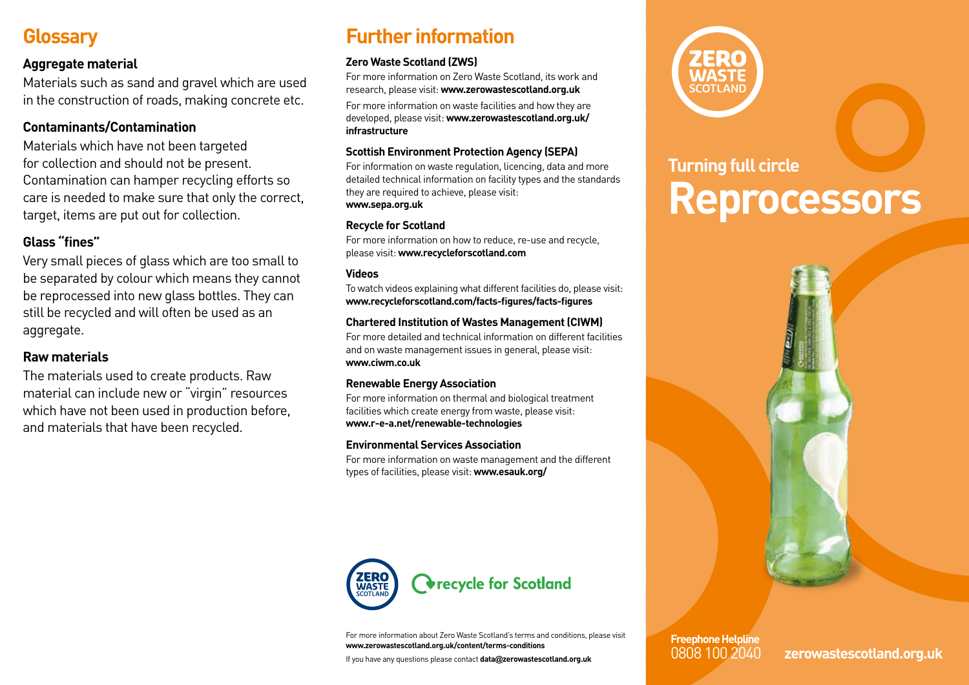## **Glossary**

#### **Aggregate material**

Materials such as sand and gravel which are used in the construction of roads, making concrete etc.

#### **Contaminants/Contamination**

Materials which have not been targeted for collection and should not be present. Contamination can hamper recycling efforts so care is needed to make sure that only the correct, target, items are put out for collection.

### **Glass "fines"**

Very small pieces of glass which are too small to be separated by colour which means they cannot be reprocessed into new glass bottles. They can still be recycled and will often be used as an aggregate.

### **Raw materials**

The materials used to create products. Raw material can include new or "virgin" resources which have not been used in production before, and materials that have been recycled.

# **Further information**

#### **Zero Waste Scotland (ZWS)**

For more information on Zero Waste Scotland, its work and research, please visit: **www.zerowastescotland.org.uk**

For more information on waste facilities and how they are developed, please visit: **www.zerowastescotland.org.uk/ infrastructure**

#### **Scottish Environment Protection Agency (SEPA)**

For information on waste regulation, licencing, data and more detailed technical information on facility types and the standards they are required to achieve, please visit: **www.sepa.org.uk**

#### **Recycle for Scotland**

For more information on how to reduce, re-use and recycle, please visit: **www.recycleforscotland.com**

#### **Videos**

To watch videos explaining what different facilities do, please visit: **www.recycleforscotland.com/facts-figures/facts-figures**

#### **Chartered Institution of Wastes Management (CIWM)**

For more detailed and technical information on different facilities and on waste management issues in general, please visit: **www.ciwm.co.uk**

#### **Renewable Energy Association**

For more information on thermal and biological treatment facilities which create energy from waste, please visit: **www.r-e-a.net/renewable-technologies**

#### **Environmental Services Association**

For more information on waste management and the different types of facilities, please visit: **www.esauk.org/**



For more information about Zero Waste Scotland's terms and conditions, please visit **www.zerowastescotland.org.uk/content/terms-conditions**

If you have any questions please contact **data@zerowastescotland.org.uk**



# **Turning full circle Reprocessors**



# **Freephone Helpline**

0808 100 2040 **zerowastescotland.org.uk**